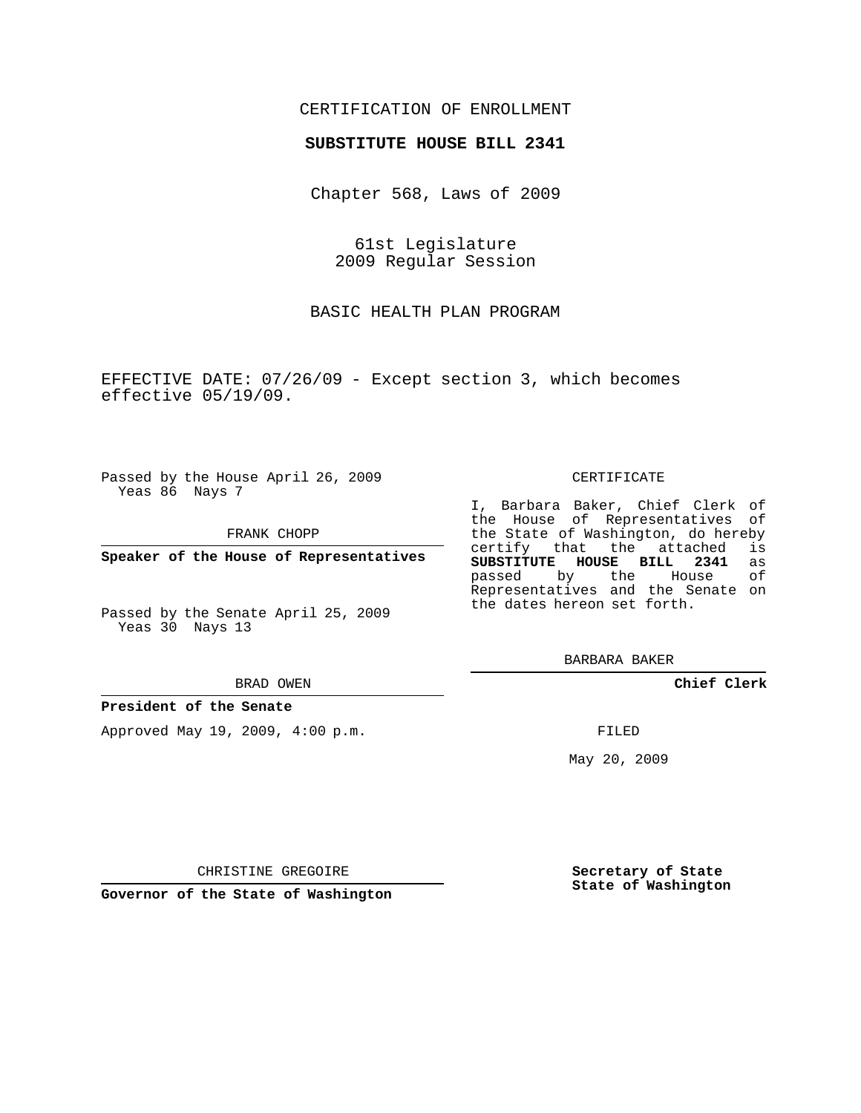# CERTIFICATION OF ENROLLMENT

## **SUBSTITUTE HOUSE BILL 2341**

Chapter 568, Laws of 2009

61st Legislature 2009 Regular Session

BASIC HEALTH PLAN PROGRAM

EFFECTIVE DATE: 07/26/09 - Except section 3, which becomes effective 05/19/09.

Passed by the House April 26, 2009 Yeas 86 Nays 7

FRANK CHOPP

**Speaker of the House of Representatives**

Passed by the Senate April 25, 2009

#### BRAD OWEN

### **President of the Senate**

Approved May 19, 2009, 4:00 p.m.

#### CERTIFICATE

I, Barbara Baker, Chief Clerk of the House of Representatives of the State of Washington, do hereby<br>certify that the attached is certify that the attached **SUBSTITUTE HOUSE BILL 2341** as passed by the House of Representatives and the Senate on the dates hereon set forth.

BARBARA BAKER

**Chief Clerk**

FILED

May 20, 2009

**Secretary of State State of Washington**

CHRISTINE GREGOIRE

**Governor of the State of Washington**

Yeas 30 Nays 13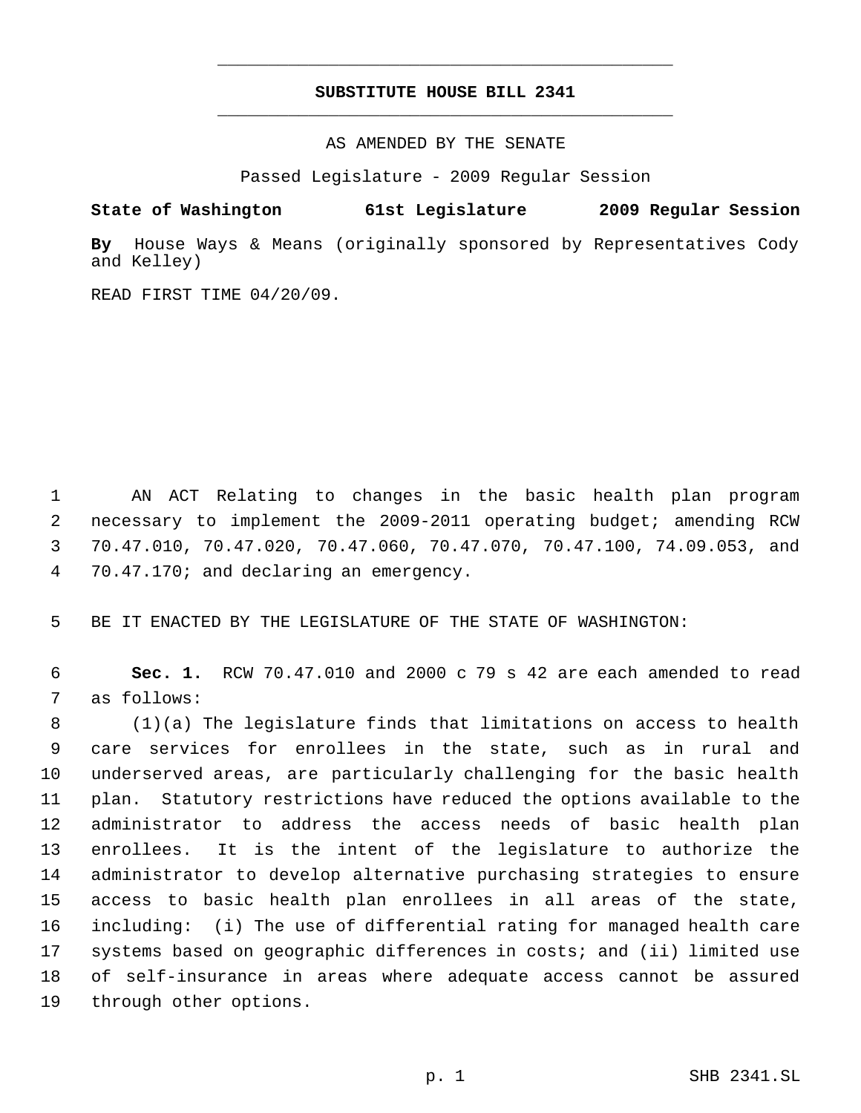# **SUBSTITUTE HOUSE BILL 2341** \_\_\_\_\_\_\_\_\_\_\_\_\_\_\_\_\_\_\_\_\_\_\_\_\_\_\_\_\_\_\_\_\_\_\_\_\_\_\_\_\_\_\_\_\_

\_\_\_\_\_\_\_\_\_\_\_\_\_\_\_\_\_\_\_\_\_\_\_\_\_\_\_\_\_\_\_\_\_\_\_\_\_\_\_\_\_\_\_\_\_

AS AMENDED BY THE SENATE

Passed Legislature - 2009 Regular Session

**State of Washington 61st Legislature 2009 Regular Session**

**By** House Ways & Means (originally sponsored by Representatives Cody and Kelley)

READ FIRST TIME 04/20/09.

 AN ACT Relating to changes in the basic health plan program necessary to implement the 2009-2011 operating budget; amending RCW 70.47.010, 70.47.020, 70.47.060, 70.47.070, 70.47.100, 74.09.053, and 70.47.170; and declaring an emergency.

BE IT ENACTED BY THE LEGISLATURE OF THE STATE OF WASHINGTON:

 **Sec. 1.** RCW 70.47.010 and 2000 c 79 s 42 are each amended to read as follows:

 (1)(a) The legislature finds that limitations on access to health care services for enrollees in the state, such as in rural and underserved areas, are particularly challenging for the basic health plan. Statutory restrictions have reduced the options available to the administrator to address the access needs of basic health plan enrollees. It is the intent of the legislature to authorize the administrator to develop alternative purchasing strategies to ensure access to basic health plan enrollees in all areas of the state, including: (i) The use of differential rating for managed health care systems based on geographic differences in costs; and (ii) limited use of self-insurance in areas where adequate access cannot be assured through other options.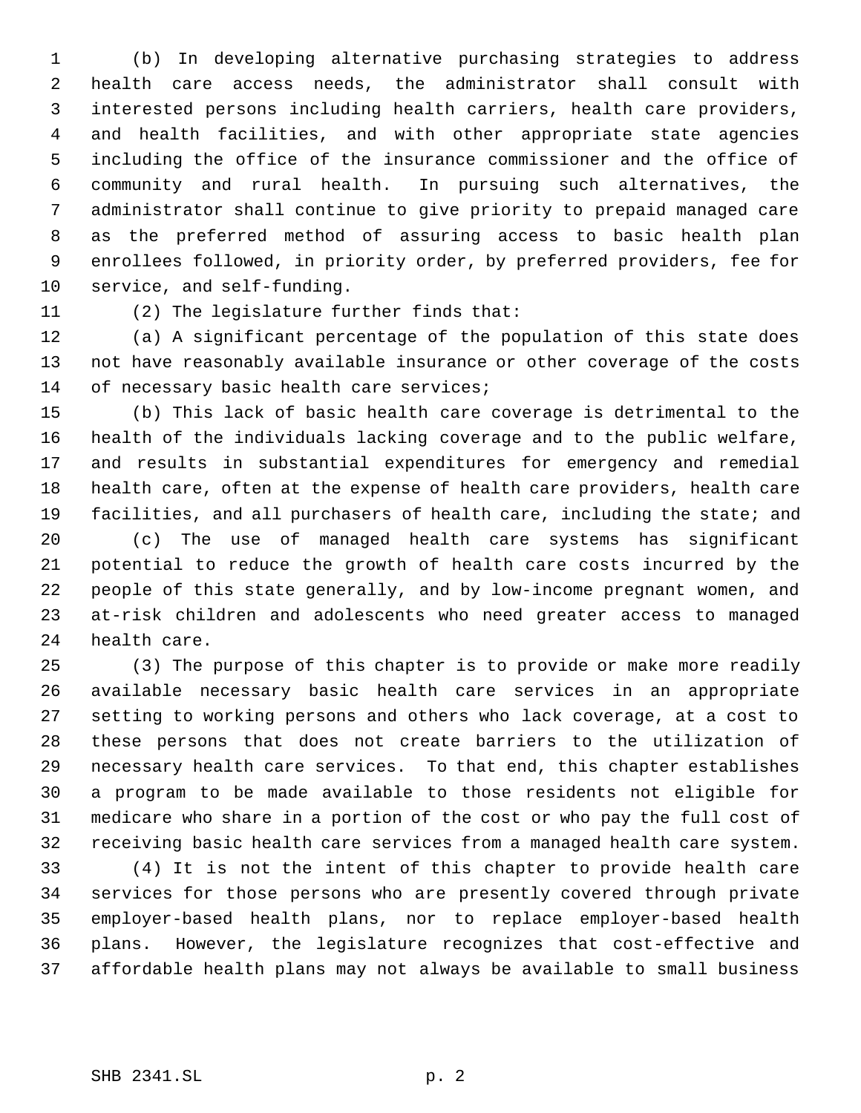(b) In developing alternative purchasing strategies to address health care access needs, the administrator shall consult with interested persons including health carriers, health care providers, and health facilities, and with other appropriate state agencies including the office of the insurance commissioner and the office of community and rural health. In pursuing such alternatives, the administrator shall continue to give priority to prepaid managed care as the preferred method of assuring access to basic health plan enrollees followed, in priority order, by preferred providers, fee for service, and self-funding.

(2) The legislature further finds that:

 (a) A significant percentage of the population of this state does not have reasonably available insurance or other coverage of the costs 14 of necessary basic health care services;

 (b) This lack of basic health care coverage is detrimental to the health of the individuals lacking coverage and to the public welfare, and results in substantial expenditures for emergency and remedial health care, often at the expense of health care providers, health care facilities, and all purchasers of health care, including the state; and (c) The use of managed health care systems has significant potential to reduce the growth of health care costs incurred by the people of this state generally, and by low-income pregnant women, and at-risk children and adolescents who need greater access to managed health care.

 (3) The purpose of this chapter is to provide or make more readily available necessary basic health care services in an appropriate setting to working persons and others who lack coverage, at a cost to these persons that does not create barriers to the utilization of necessary health care services. To that end, this chapter establishes a program to be made available to those residents not eligible for medicare who share in a portion of the cost or who pay the full cost of receiving basic health care services from a managed health care system.

 (4) It is not the intent of this chapter to provide health care services for those persons who are presently covered through private employer-based health plans, nor to replace employer-based health plans. However, the legislature recognizes that cost-effective and affordable health plans may not always be available to small business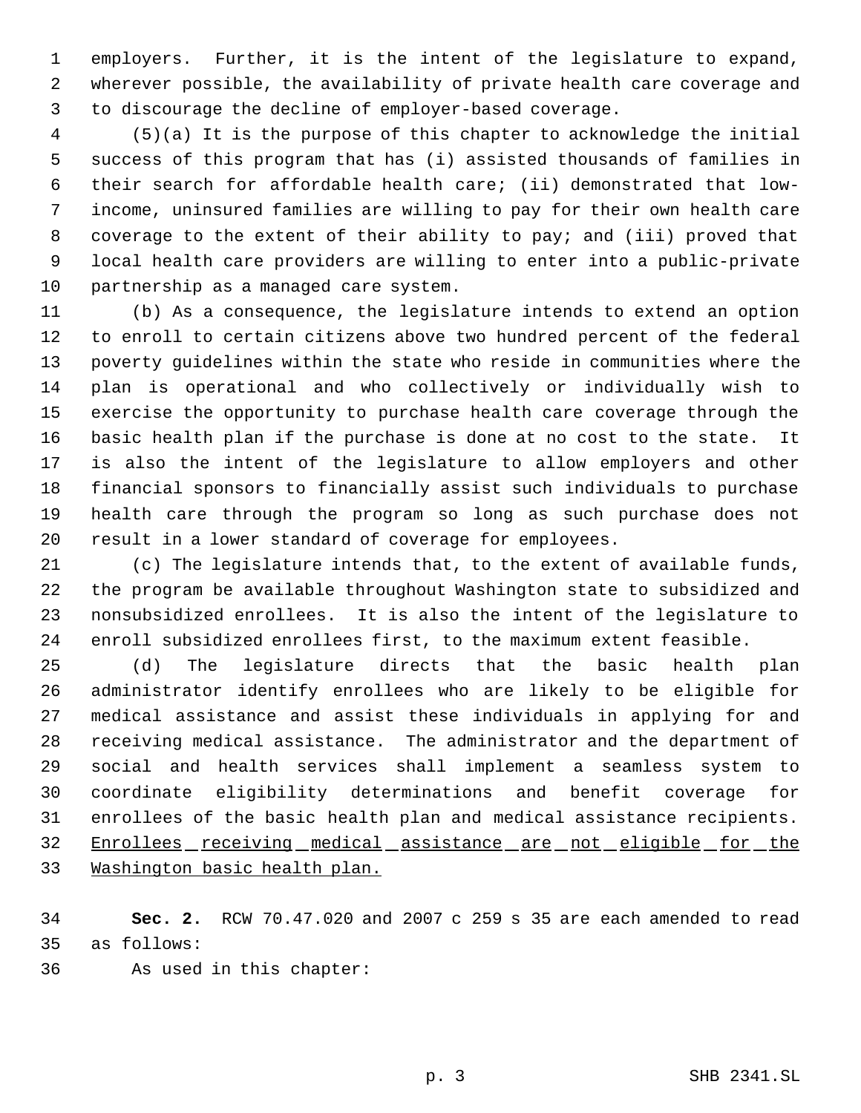employers. Further, it is the intent of the legislature to expand, wherever possible, the availability of private health care coverage and to discourage the decline of employer-based coverage.

 (5)(a) It is the purpose of this chapter to acknowledge the initial success of this program that has (i) assisted thousands of families in their search for affordable health care; (ii) demonstrated that low- income, uninsured families are willing to pay for their own health care coverage to the extent of their ability to pay; and (iii) proved that local health care providers are willing to enter into a public-private partnership as a managed care system.

 (b) As a consequence, the legislature intends to extend an option to enroll to certain citizens above two hundred percent of the federal poverty guidelines within the state who reside in communities where the plan is operational and who collectively or individually wish to exercise the opportunity to purchase health care coverage through the basic health plan if the purchase is done at no cost to the state. It is also the intent of the legislature to allow employers and other financial sponsors to financially assist such individuals to purchase health care through the program so long as such purchase does not result in a lower standard of coverage for employees.

 (c) The legislature intends that, to the extent of available funds, the program be available throughout Washington state to subsidized and nonsubsidized enrollees. It is also the intent of the legislature to enroll subsidized enrollees first, to the maximum extent feasible.

 (d) The legislature directs that the basic health plan administrator identify enrollees who are likely to be eligible for medical assistance and assist these individuals in applying for and receiving medical assistance. The administrator and the department of social and health services shall implement a seamless system to coordinate eligibility determinations and benefit coverage for enrollees of the basic health plan and medical assistance recipients. 32 Enrollees receiving medical assistance are not eligible for the Washington basic health plan.

 **Sec. 2.** RCW 70.47.020 and 2007 c 259 s 35 are each amended to read as follows:

As used in this chapter: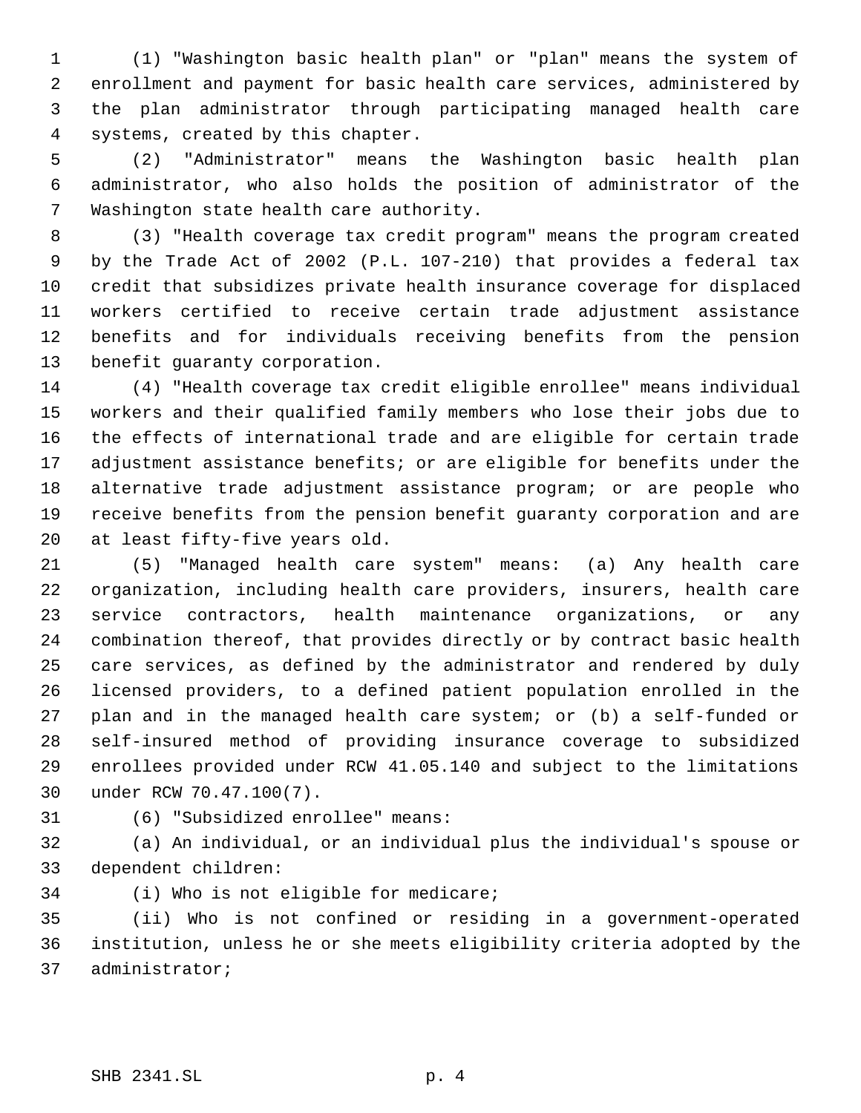(1) "Washington basic health plan" or "plan" means the system of enrollment and payment for basic health care services, administered by the plan administrator through participating managed health care systems, created by this chapter.

 (2) "Administrator" means the Washington basic health plan administrator, who also holds the position of administrator of the Washington state health care authority.

 (3) "Health coverage tax credit program" means the program created by the Trade Act of 2002 (P.L. 107-210) that provides a federal tax credit that subsidizes private health insurance coverage for displaced workers certified to receive certain trade adjustment assistance benefits and for individuals receiving benefits from the pension benefit guaranty corporation.

 (4) "Health coverage tax credit eligible enrollee" means individual workers and their qualified family members who lose their jobs due to the effects of international trade and are eligible for certain trade adjustment assistance benefits; or are eligible for benefits under the alternative trade adjustment assistance program; or are people who receive benefits from the pension benefit guaranty corporation and are at least fifty-five years old.

 (5) "Managed health care system" means: (a) Any health care organization, including health care providers, insurers, health care service contractors, health maintenance organizations, or any combination thereof, that provides directly or by contract basic health care services, as defined by the administrator and rendered by duly licensed providers, to a defined patient population enrolled in the plan and in the managed health care system; or (b) a self-funded or self-insured method of providing insurance coverage to subsidized enrollees provided under RCW 41.05.140 and subject to the limitations under RCW 70.47.100(7).

(6) "Subsidized enrollee" means:

 (a) An individual, or an individual plus the individual's spouse or dependent children:

(i) Who is not eligible for medicare;

 (ii) Who is not confined or residing in a government-operated institution, unless he or she meets eligibility criteria adopted by the administrator;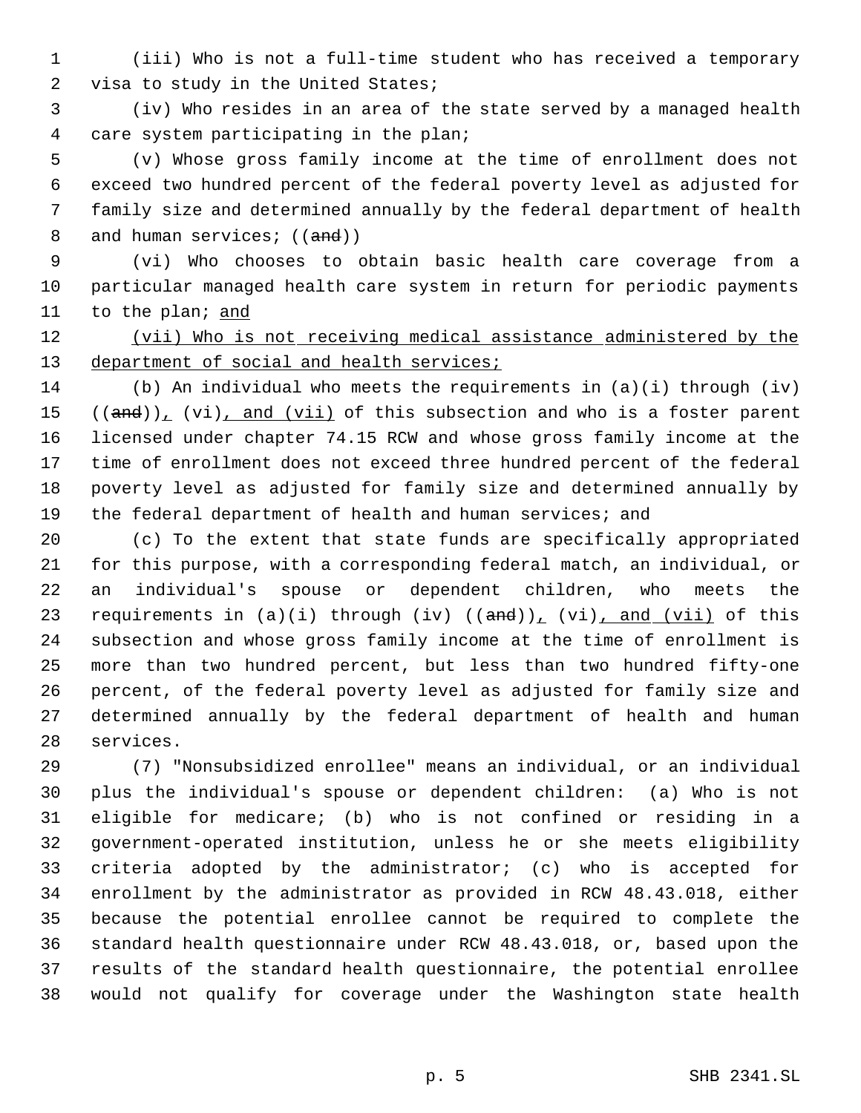(iii) Who is not a full-time student who has received a temporary visa to study in the United States;

 (iv) Who resides in an area of the state served by a managed health care system participating in the plan;

 (v) Whose gross family income at the time of enrollment does not exceed two hundred percent of the federal poverty level as adjusted for family size and determined annually by the federal department of health 8 and human services; ((and))

 (vi) Who chooses to obtain basic health care coverage from a particular managed health care system in return for periodic payments 11 to the plan; and

12 (vii) Who is not receiving medical assistance administered by the 13 department of social and health services;

 (b) An individual who meets the requirements in (a)(i) through (iv)  $((and))_L$  (vi), and (vii) of this subsection and who is a foster parent licensed under chapter 74.15 RCW and whose gross family income at the time of enrollment does not exceed three hundred percent of the federal poverty level as adjusted for family size and determined annually by 19 the federal department of health and human services; and

 (c) To the extent that state funds are specifically appropriated for this purpose, with a corresponding federal match, an individual, or an individual's spouse or dependent children, who meets the 23 requirements in  $(a)(i)$  through  $(iv)$   $((and))_1$   $(vi)$ , and  $(vii)$  of this subsection and whose gross family income at the time of enrollment is more than two hundred percent, but less than two hundred fifty-one percent, of the federal poverty level as adjusted for family size and determined annually by the federal department of health and human services.

 (7) "Nonsubsidized enrollee" means an individual, or an individual plus the individual's spouse or dependent children: (a) Who is not eligible for medicare; (b) who is not confined or residing in a government-operated institution, unless he or she meets eligibility criteria adopted by the administrator; (c) who is accepted for enrollment by the administrator as provided in RCW 48.43.018, either because the potential enrollee cannot be required to complete the standard health questionnaire under RCW 48.43.018, or, based upon the results of the standard health questionnaire, the potential enrollee would not qualify for coverage under the Washington state health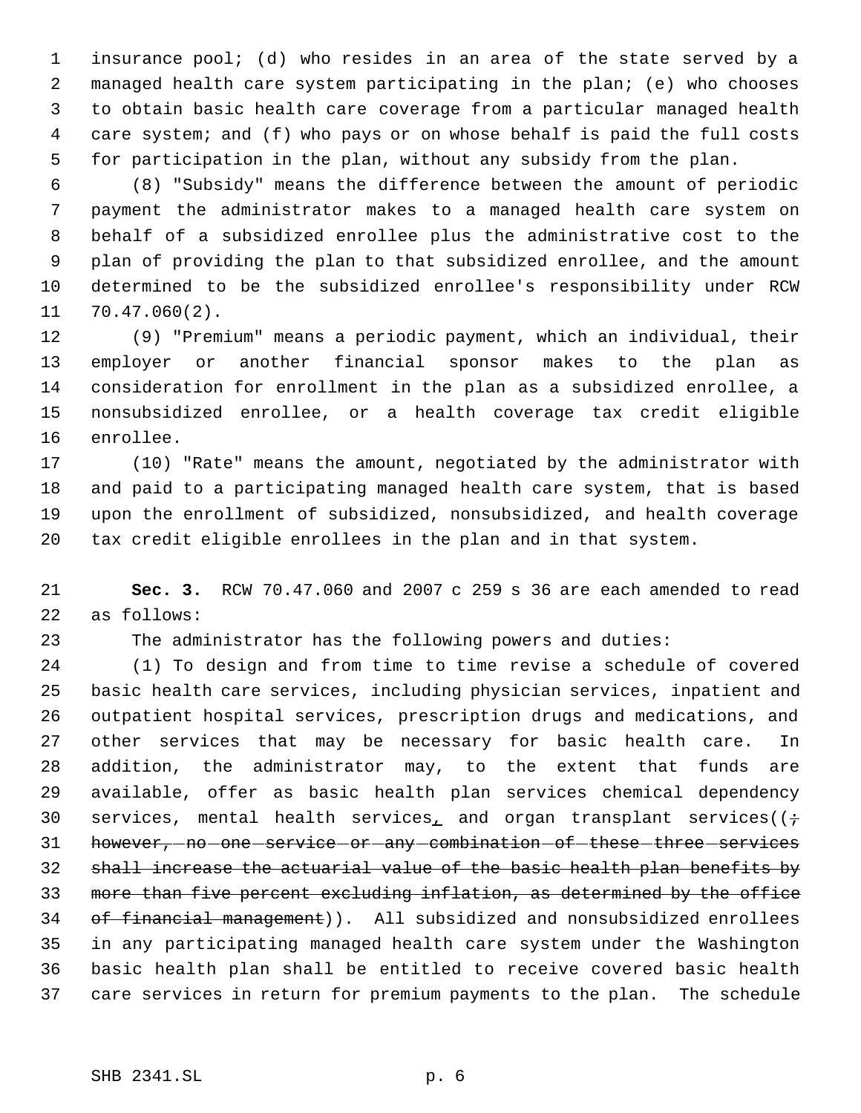insurance pool; (d) who resides in an area of the state served by a managed health care system participating in the plan; (e) who chooses to obtain basic health care coverage from a particular managed health care system; and (f) who pays or on whose behalf is paid the full costs for participation in the plan, without any subsidy from the plan.

 (8) "Subsidy" means the difference between the amount of periodic payment the administrator makes to a managed health care system on behalf of a subsidized enrollee plus the administrative cost to the plan of providing the plan to that subsidized enrollee, and the amount determined to be the subsidized enrollee's responsibility under RCW 70.47.060(2).

 (9) "Premium" means a periodic payment, which an individual, their employer or another financial sponsor makes to the plan as consideration for enrollment in the plan as a subsidized enrollee, a nonsubsidized enrollee, or a health coverage tax credit eligible enrollee.

 (10) "Rate" means the amount, negotiated by the administrator with and paid to a participating managed health care system, that is based upon the enrollment of subsidized, nonsubsidized, and health coverage tax credit eligible enrollees in the plan and in that system.

 **Sec. 3.** RCW 70.47.060 and 2007 c 259 s 36 are each amended to read as follows:

The administrator has the following powers and duties:

 (1) To design and from time to time revise a schedule of covered basic health care services, including physician services, inpatient and outpatient hospital services, prescription drugs and medications, and other services that may be necessary for basic health care. In addition, the administrator may, to the extent that funds are available, offer as basic health plan services chemical dependency 30 services, mental health services<sub>1</sub> and organ transplant services( $(\div)$ 31 however, -no -one -service -or -any -combination -of -these -three -services shall increase the actuarial value of the basic health plan benefits by more than five percent excluding inflation, as determined by the office 34 of financial management)). All subsidized and nonsubsidized enrollees in any participating managed health care system under the Washington basic health plan shall be entitled to receive covered basic health care services in return for premium payments to the plan. The schedule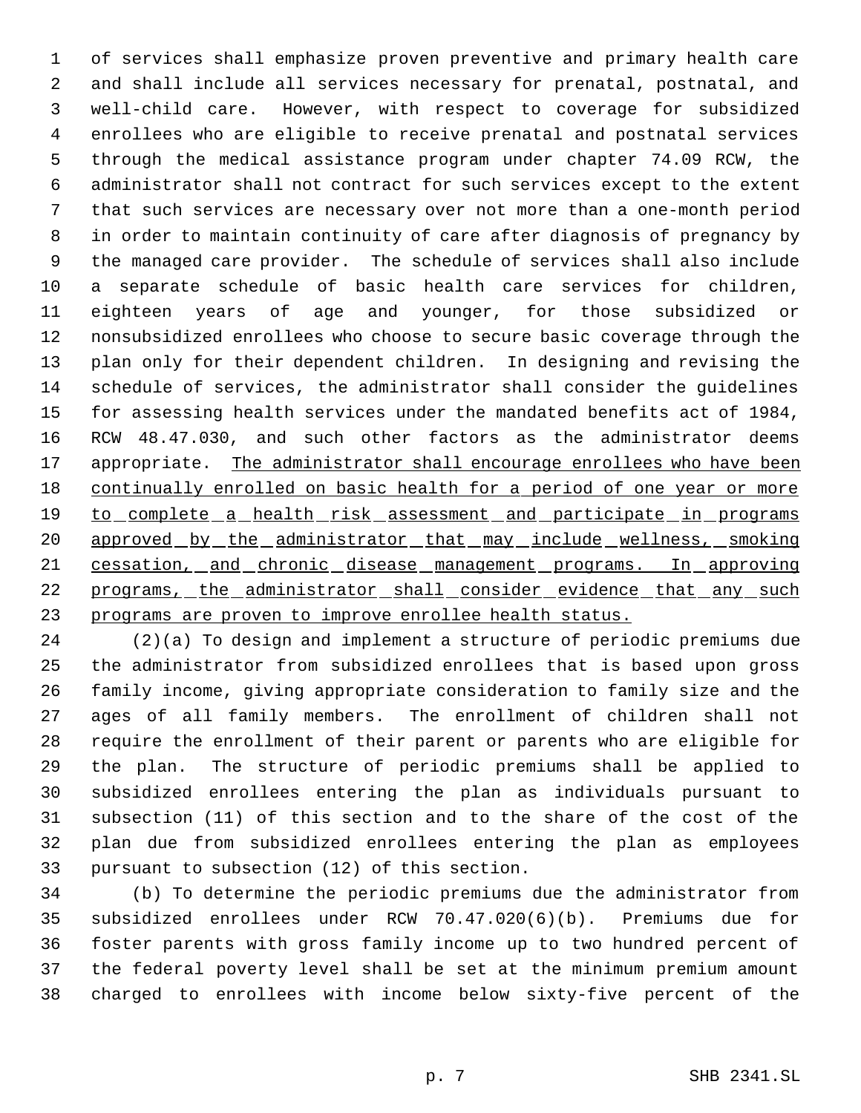of services shall emphasize proven preventive and primary health care and shall include all services necessary for prenatal, postnatal, and well-child care. However, with respect to coverage for subsidized enrollees who are eligible to receive prenatal and postnatal services through the medical assistance program under chapter 74.09 RCW, the administrator shall not contract for such services except to the extent that such services are necessary over not more than a one-month period in order to maintain continuity of care after diagnosis of pregnancy by the managed care provider. The schedule of services shall also include a separate schedule of basic health care services for children, eighteen years of age and younger, for those subsidized or nonsubsidized enrollees who choose to secure basic coverage through the plan only for their dependent children. In designing and revising the schedule of services, the administrator shall consider the guidelines for assessing health services under the mandated benefits act of 1984, RCW 48.47.030, and such other factors as the administrator deems 17 appropriate. The administrator shall encourage enrollees who have been 18 continually enrolled on basic health for a period of one year or more 19 to complete a health risk assessment and participate in programs 20 approved by the administrator that may include wellness, smoking 21 cessation, and chronic disease management programs. In approving 22 programs, the administrator shall consider evidence that any such programs are proven to improve enrollee health status.

 (2)(a) To design and implement a structure of periodic premiums due the administrator from subsidized enrollees that is based upon gross family income, giving appropriate consideration to family size and the ages of all family members. The enrollment of children shall not require the enrollment of their parent or parents who are eligible for the plan. The structure of periodic premiums shall be applied to subsidized enrollees entering the plan as individuals pursuant to subsection (11) of this section and to the share of the cost of the plan due from subsidized enrollees entering the plan as employees pursuant to subsection (12) of this section.

 (b) To determine the periodic premiums due the administrator from subsidized enrollees under RCW 70.47.020(6)(b). Premiums due for foster parents with gross family income up to two hundred percent of the federal poverty level shall be set at the minimum premium amount charged to enrollees with income below sixty-five percent of the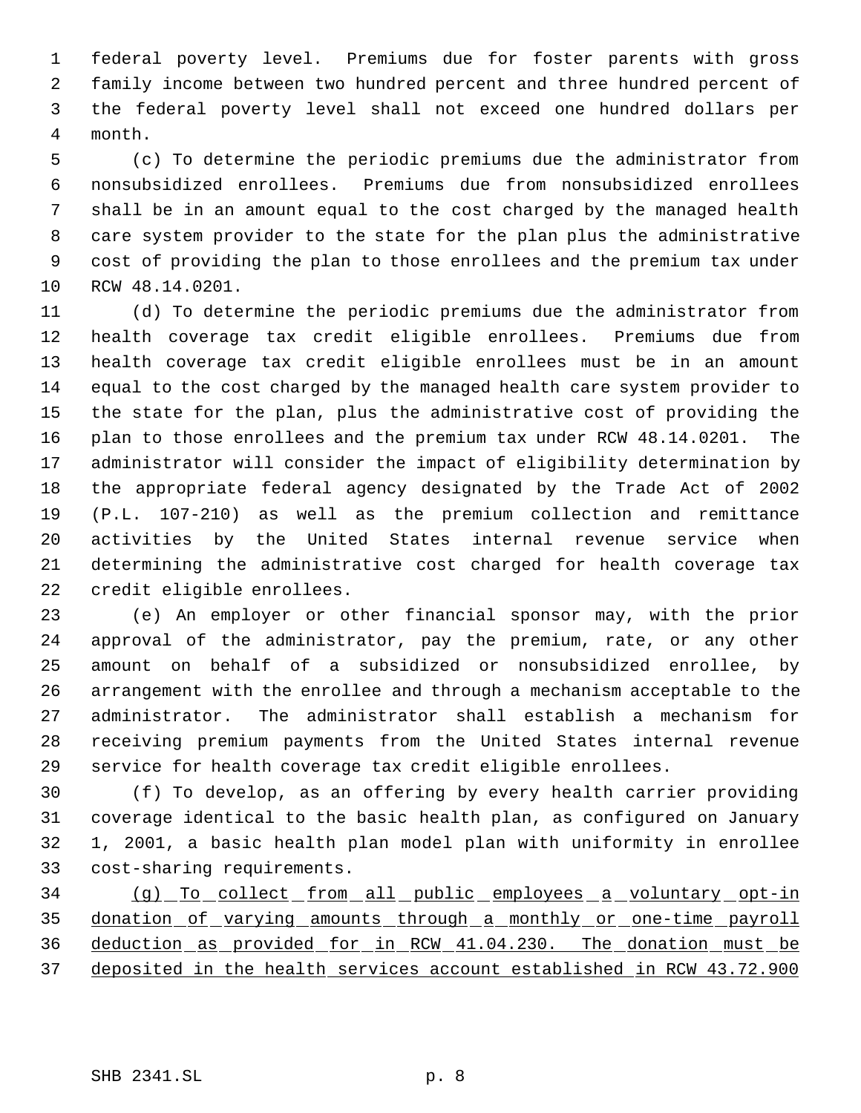federal poverty level. Premiums due for foster parents with gross family income between two hundred percent and three hundred percent of the federal poverty level shall not exceed one hundred dollars per month.

 (c) To determine the periodic premiums due the administrator from nonsubsidized enrollees. Premiums due from nonsubsidized enrollees shall be in an amount equal to the cost charged by the managed health care system provider to the state for the plan plus the administrative cost of providing the plan to those enrollees and the premium tax under RCW 48.14.0201.

 (d) To determine the periodic premiums due the administrator from health coverage tax credit eligible enrollees. Premiums due from health coverage tax credit eligible enrollees must be in an amount equal to the cost charged by the managed health care system provider to the state for the plan, plus the administrative cost of providing the plan to those enrollees and the premium tax under RCW 48.14.0201. The administrator will consider the impact of eligibility determination by the appropriate federal agency designated by the Trade Act of 2002 (P.L. 107-210) as well as the premium collection and remittance activities by the United States internal revenue service when determining the administrative cost charged for health coverage tax credit eligible enrollees.

 (e) An employer or other financial sponsor may, with the prior approval of the administrator, pay the premium, rate, or any other amount on behalf of a subsidized or nonsubsidized enrollee, by arrangement with the enrollee and through a mechanism acceptable to the administrator. The administrator shall establish a mechanism for receiving premium payments from the United States internal revenue service for health coverage tax credit eligible enrollees.

 (f) To develop, as an offering by every health carrier providing coverage identical to the basic health plan, as configured on January 1, 2001, a basic health plan model plan with uniformity in enrollee cost-sharing requirements.

 (g) To collect from all public employees a voluntary opt-in 35 donation of varying amounts through a monthly or one-time payroll deduction as provided for in RCW 41.04.230. The donation must be deposited in the health services account established in RCW 43.72.900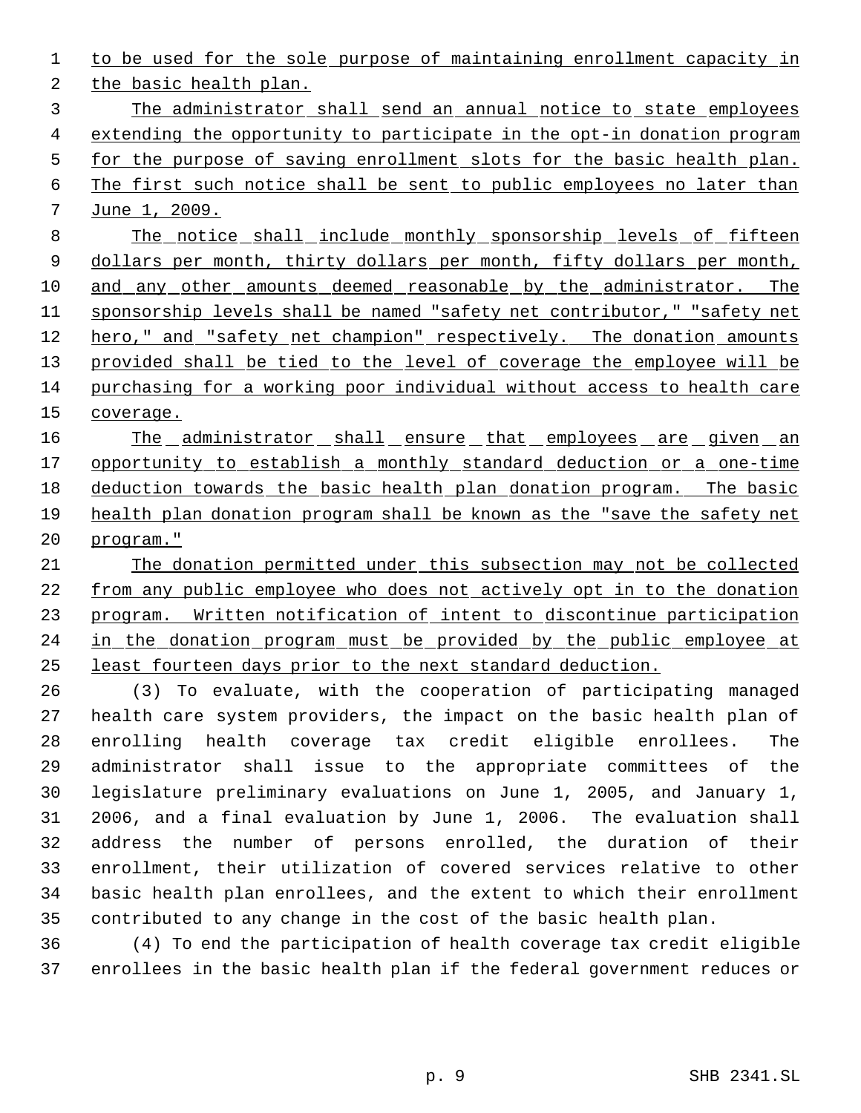1 to be used for the sole purpose of maintaining enrollment capacity in

the basic health plan.

 The administrator shall send an annual notice to state employees extending the opportunity to participate in the opt-in donation program 5 for the purpose of saving enrollment slots for the basic health plan. The first such notice shall be sent to public employees no later than June 1, 2009.

 The notice shall include monthly sponsorship levels of fifteen 9 dollars per month, thirty dollars per month, fifty dollars per month, and any other amounts deemed reasonable by the administrator. The sponsorship levels shall be named "safety net contributor," "safety net hero," and "safety net champion" respectively. The donation amounts 13 provided shall be tied to the level of coverage the employee will be purchasing for a working poor individual without access to health care 15 coverage.

16 The administrator shall ensure that employees are given an 17 opportunity to establish a monthly standard deduction or a one-time deduction towards the basic health plan donation program. The basic health plan donation program shall be known as the "save the safety net program."

 The donation permitted under this subsection may not be collected from any public employee who does not actively opt in to the donation program. Written notification of intent to discontinue participation 24 in the donation program must be provided by the public employee at least fourteen days prior to the next standard deduction.

 (3) To evaluate, with the cooperation of participating managed health care system providers, the impact on the basic health plan of enrolling health coverage tax credit eligible enrollees. The administrator shall issue to the appropriate committees of the legislature preliminary evaluations on June 1, 2005, and January 1, 2006, and a final evaluation by June 1, 2006. The evaluation shall address the number of persons enrolled, the duration of their enrollment, their utilization of covered services relative to other basic health plan enrollees, and the extent to which their enrollment contributed to any change in the cost of the basic health plan.

 (4) To end the participation of health coverage tax credit eligible enrollees in the basic health plan if the federal government reduces or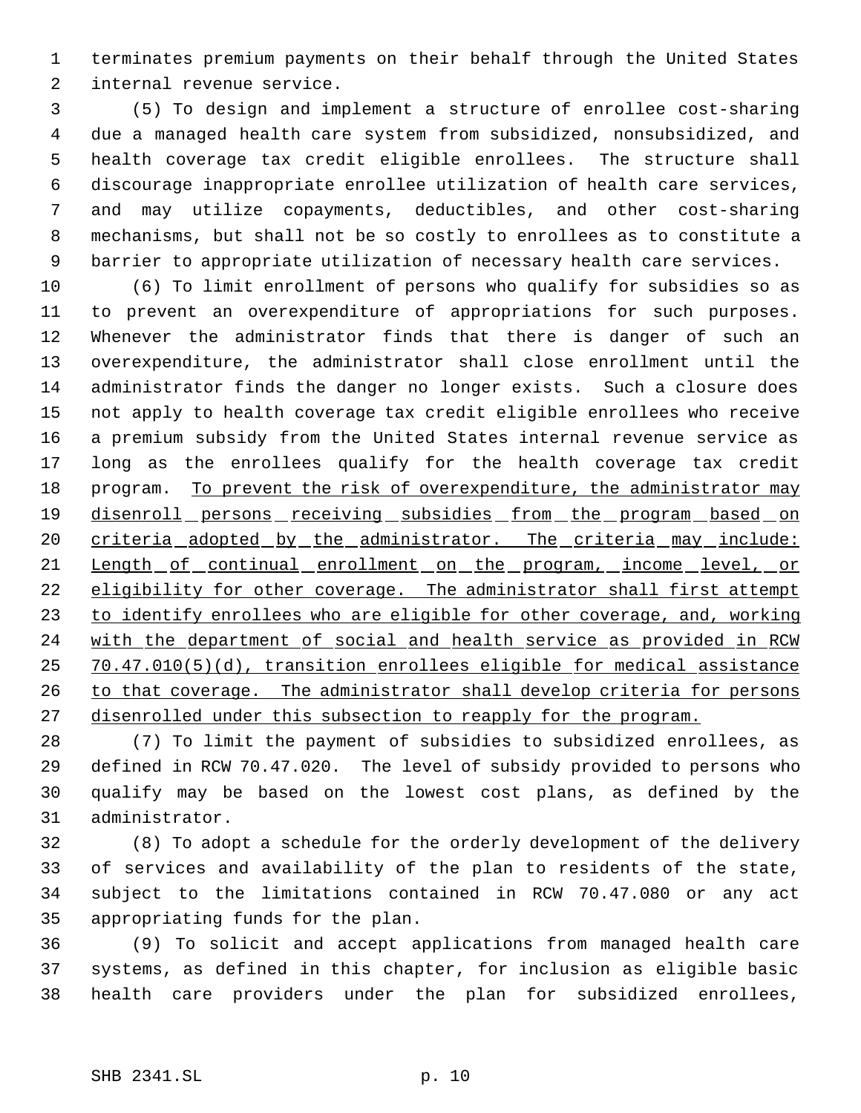terminates premium payments on their behalf through the United States internal revenue service.

 (5) To design and implement a structure of enrollee cost-sharing due a managed health care system from subsidized, nonsubsidized, and health coverage tax credit eligible enrollees. The structure shall discourage inappropriate enrollee utilization of health care services, and may utilize copayments, deductibles, and other cost-sharing mechanisms, but shall not be so costly to enrollees as to constitute a barrier to appropriate utilization of necessary health care services.

 (6) To limit enrollment of persons who qualify for subsidies so as to prevent an overexpenditure of appropriations for such purposes. Whenever the administrator finds that there is danger of such an overexpenditure, the administrator shall close enrollment until the administrator finds the danger no longer exists. Such a closure does not apply to health coverage tax credit eligible enrollees who receive a premium subsidy from the United States internal revenue service as long as the enrollees qualify for the health coverage tax credit 18 program. To prevent the risk of overexpenditure, the administrator may 19 disenroll persons receiving subsidies from the program based on 20 criteria adopted by the administrator. The criteria may include: 21 Length of continual enrollment on the program, income level, or eligibility for other coverage. The administrator shall first attempt to identify enrollees who are eligible for other coverage, and, working 24 with the department of social and health service as provided in RCW 70.47.010(5)(d), transition enrollees eligible for medical assistance 26 to that coverage. The administrator shall develop criteria for persons 27 disenrolled under this subsection to reapply for the program.

 (7) To limit the payment of subsidies to subsidized enrollees, as defined in RCW 70.47.020. The level of subsidy provided to persons who qualify may be based on the lowest cost plans, as defined by the administrator.

 (8) To adopt a schedule for the orderly development of the delivery of services and availability of the plan to residents of the state, subject to the limitations contained in RCW 70.47.080 or any act appropriating funds for the plan.

 (9) To solicit and accept applications from managed health care systems, as defined in this chapter, for inclusion as eligible basic health care providers under the plan for subsidized enrollees,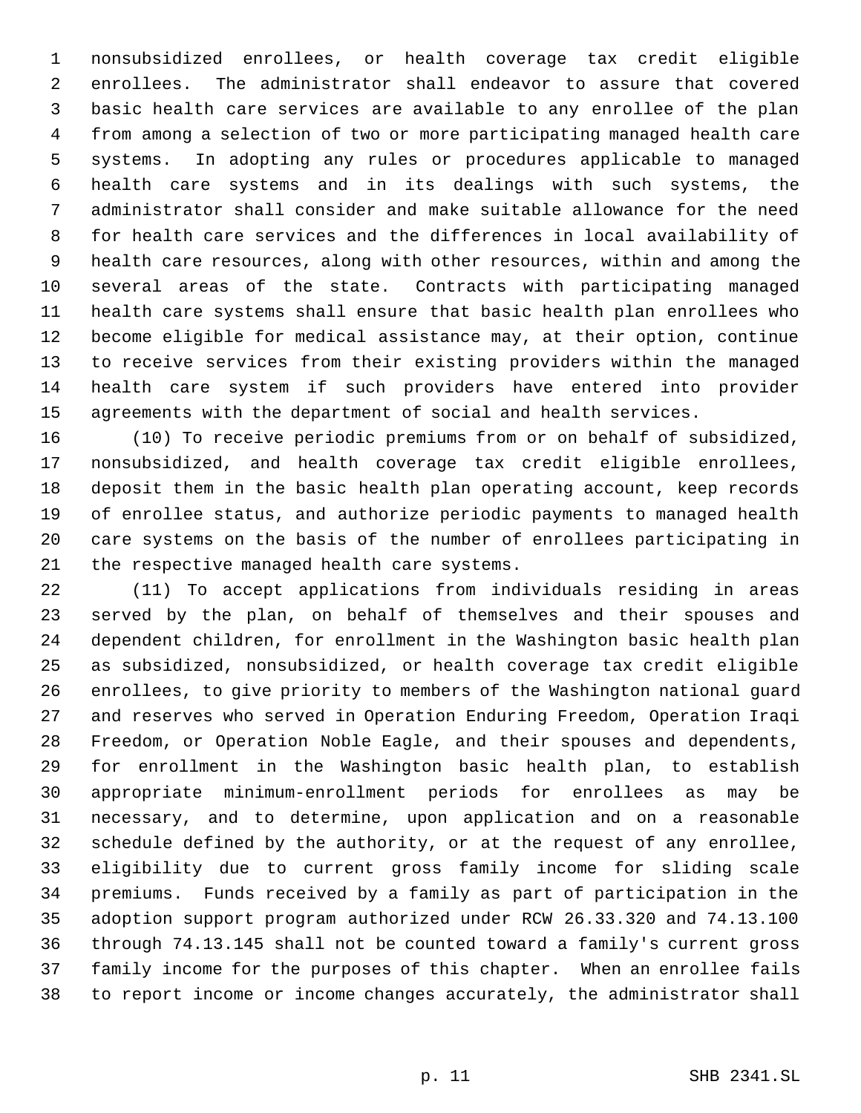nonsubsidized enrollees, or health coverage tax credit eligible enrollees. The administrator shall endeavor to assure that covered basic health care services are available to any enrollee of the plan from among a selection of two or more participating managed health care systems. In adopting any rules or procedures applicable to managed health care systems and in its dealings with such systems, the administrator shall consider and make suitable allowance for the need for health care services and the differences in local availability of health care resources, along with other resources, within and among the several areas of the state. Contracts with participating managed health care systems shall ensure that basic health plan enrollees who become eligible for medical assistance may, at their option, continue to receive services from their existing providers within the managed health care system if such providers have entered into provider agreements with the department of social and health services.

 (10) To receive periodic premiums from or on behalf of subsidized, nonsubsidized, and health coverage tax credit eligible enrollees, deposit them in the basic health plan operating account, keep records of enrollee status, and authorize periodic payments to managed health care systems on the basis of the number of enrollees participating in the respective managed health care systems.

 (11) To accept applications from individuals residing in areas served by the plan, on behalf of themselves and their spouses and dependent children, for enrollment in the Washington basic health plan as subsidized, nonsubsidized, or health coverage tax credit eligible enrollees, to give priority to members of the Washington national guard and reserves who served in Operation Enduring Freedom, Operation Iraqi Freedom, or Operation Noble Eagle, and their spouses and dependents, for enrollment in the Washington basic health plan, to establish appropriate minimum-enrollment periods for enrollees as may be necessary, and to determine, upon application and on a reasonable schedule defined by the authority, or at the request of any enrollee, eligibility due to current gross family income for sliding scale premiums. Funds received by a family as part of participation in the adoption support program authorized under RCW 26.33.320 and 74.13.100 through 74.13.145 shall not be counted toward a family's current gross family income for the purposes of this chapter. When an enrollee fails to report income or income changes accurately, the administrator shall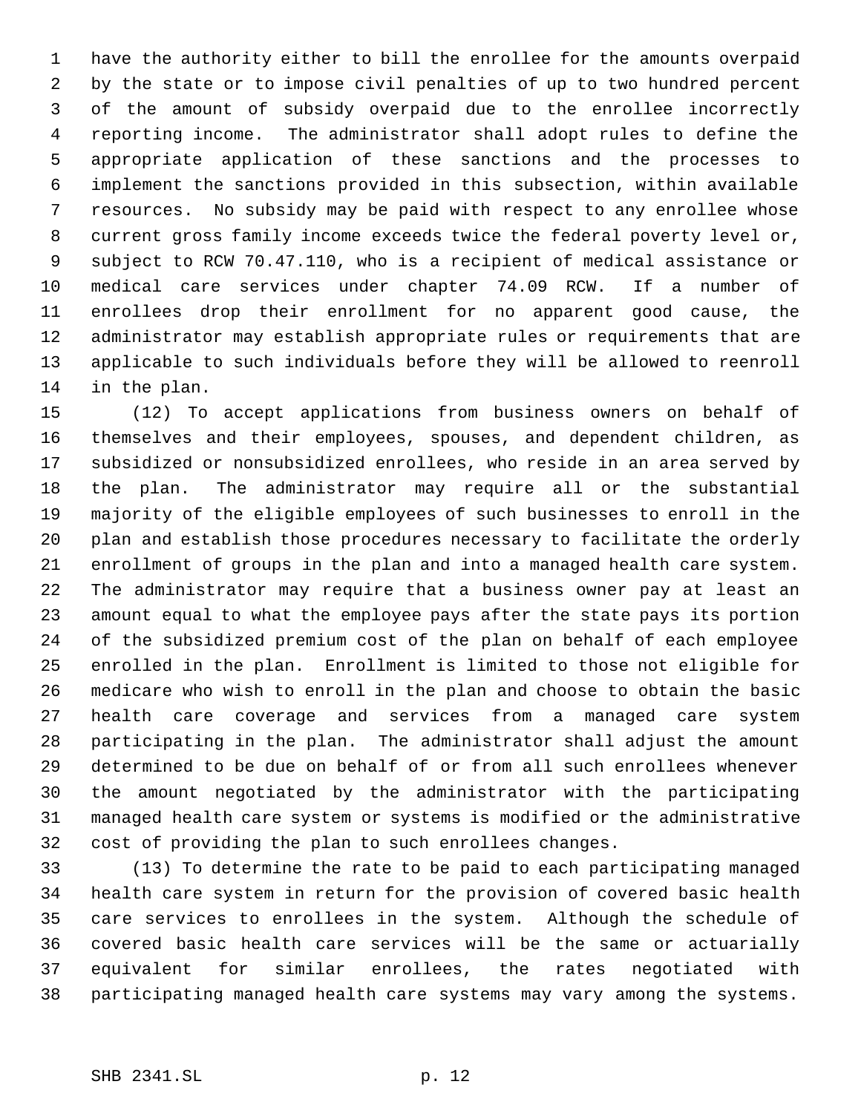have the authority either to bill the enrollee for the amounts overpaid by the state or to impose civil penalties of up to two hundred percent of the amount of subsidy overpaid due to the enrollee incorrectly reporting income. The administrator shall adopt rules to define the appropriate application of these sanctions and the processes to implement the sanctions provided in this subsection, within available resources. No subsidy may be paid with respect to any enrollee whose current gross family income exceeds twice the federal poverty level or, subject to RCW 70.47.110, who is a recipient of medical assistance or medical care services under chapter 74.09 RCW. If a number of enrollees drop their enrollment for no apparent good cause, the administrator may establish appropriate rules or requirements that are applicable to such individuals before they will be allowed to reenroll in the plan.

 (12) To accept applications from business owners on behalf of themselves and their employees, spouses, and dependent children, as subsidized or nonsubsidized enrollees, who reside in an area served by the plan. The administrator may require all or the substantial majority of the eligible employees of such businesses to enroll in the plan and establish those procedures necessary to facilitate the orderly enrollment of groups in the plan and into a managed health care system. The administrator may require that a business owner pay at least an amount equal to what the employee pays after the state pays its portion of the subsidized premium cost of the plan on behalf of each employee enrolled in the plan. Enrollment is limited to those not eligible for medicare who wish to enroll in the plan and choose to obtain the basic health care coverage and services from a managed care system participating in the plan. The administrator shall adjust the amount determined to be due on behalf of or from all such enrollees whenever the amount negotiated by the administrator with the participating managed health care system or systems is modified or the administrative cost of providing the plan to such enrollees changes.

 (13) To determine the rate to be paid to each participating managed health care system in return for the provision of covered basic health care services to enrollees in the system. Although the schedule of covered basic health care services will be the same or actuarially equivalent for similar enrollees, the rates negotiated with participating managed health care systems may vary among the systems.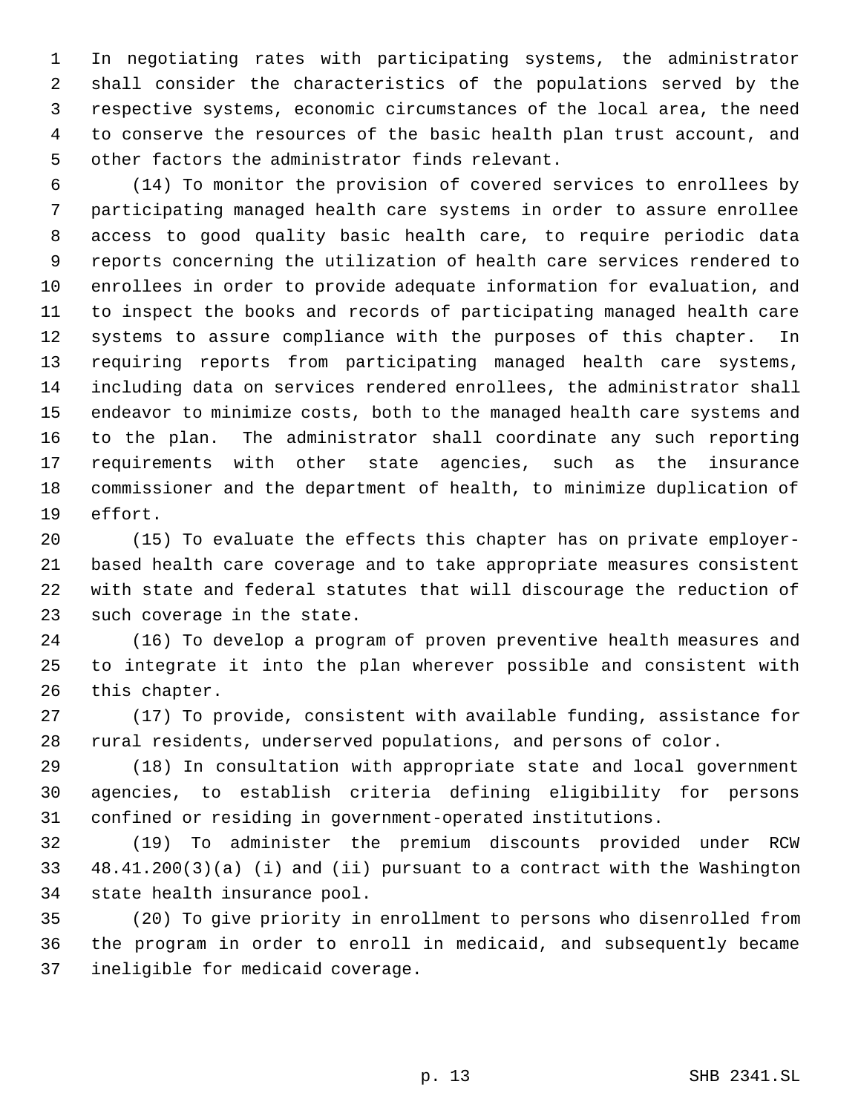In negotiating rates with participating systems, the administrator shall consider the characteristics of the populations served by the respective systems, economic circumstances of the local area, the need to conserve the resources of the basic health plan trust account, and other factors the administrator finds relevant.

 (14) To monitor the provision of covered services to enrollees by participating managed health care systems in order to assure enrollee access to good quality basic health care, to require periodic data reports concerning the utilization of health care services rendered to enrollees in order to provide adequate information for evaluation, and to inspect the books and records of participating managed health care systems to assure compliance with the purposes of this chapter. In requiring reports from participating managed health care systems, including data on services rendered enrollees, the administrator shall endeavor to minimize costs, both to the managed health care systems and to the plan. The administrator shall coordinate any such reporting requirements with other state agencies, such as the insurance commissioner and the department of health, to minimize duplication of effort.

 (15) To evaluate the effects this chapter has on private employer- based health care coverage and to take appropriate measures consistent with state and federal statutes that will discourage the reduction of such coverage in the state.

 (16) To develop a program of proven preventive health measures and to integrate it into the plan wherever possible and consistent with this chapter.

 (17) To provide, consistent with available funding, assistance for rural residents, underserved populations, and persons of color.

 (18) In consultation with appropriate state and local government agencies, to establish criteria defining eligibility for persons confined or residing in government-operated institutions.

 (19) To administer the premium discounts provided under RCW 48.41.200(3)(a) (i) and (ii) pursuant to a contract with the Washington state health insurance pool.

 (20) To give priority in enrollment to persons who disenrolled from the program in order to enroll in medicaid, and subsequently became ineligible for medicaid coverage.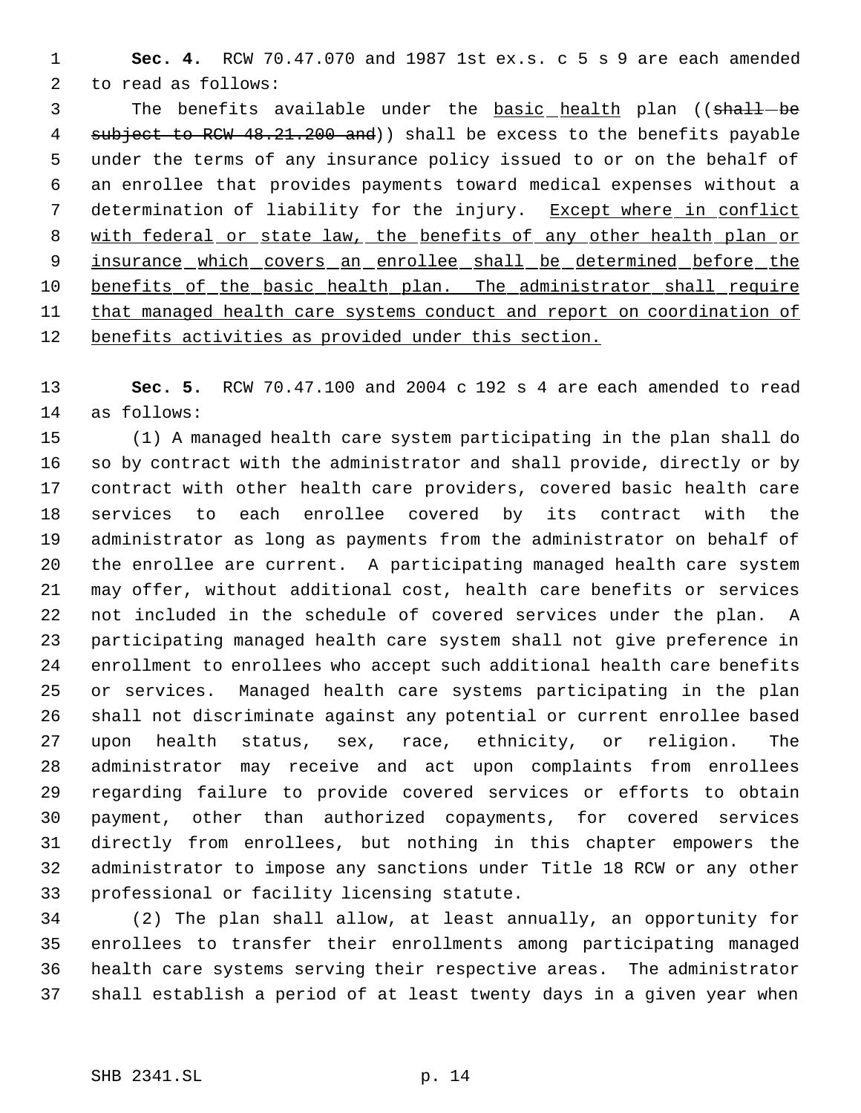**Sec. 4.** RCW 70.47.070 and 1987 1st ex.s. c 5 s 9 are each amended to read as follows:

3 The benefits available under the **basic** health plan ((shall-be 4 subject to RCW 48.21.200 and) shall be excess to the benefits payable under the terms of any insurance policy issued to or on the behalf of an enrollee that provides payments toward medical expenses without a 7 determination of liability for the injury. Except where in conflict 8 with federal or state law, the benefits of any other health plan or 9 insurance which covers an enrollee shall be determined before the 10 benefits of the basic health plan. The administrator shall require that managed health care systems conduct and report on coordination of benefits activities as provided under this section.

 **Sec. 5.** RCW 70.47.100 and 2004 c 192 s 4 are each amended to read as follows:

 (1) A managed health care system participating in the plan shall do so by contract with the administrator and shall provide, directly or by contract with other health care providers, covered basic health care services to each enrollee covered by its contract with the administrator as long as payments from the administrator on behalf of the enrollee are current. A participating managed health care system may offer, without additional cost, health care benefits or services not included in the schedule of covered services under the plan. A participating managed health care system shall not give preference in enrollment to enrollees who accept such additional health care benefits or services. Managed health care systems participating in the plan shall not discriminate against any potential or current enrollee based upon health status, sex, race, ethnicity, or religion. The administrator may receive and act upon complaints from enrollees regarding failure to provide covered services or efforts to obtain payment, other than authorized copayments, for covered services directly from enrollees, but nothing in this chapter empowers the administrator to impose any sanctions under Title 18 RCW or any other professional or facility licensing statute.

 (2) The plan shall allow, at least annually, an opportunity for enrollees to transfer their enrollments among participating managed health care systems serving their respective areas. The administrator shall establish a period of at least twenty days in a given year when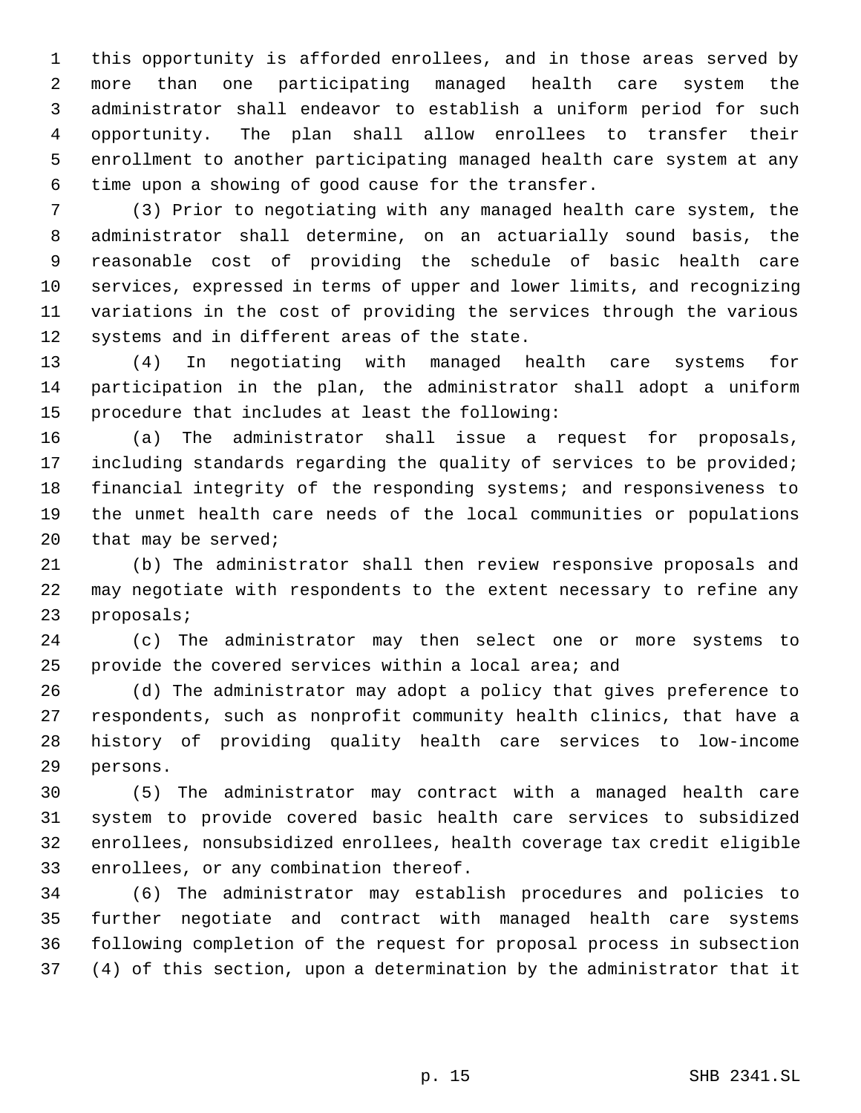this opportunity is afforded enrollees, and in those areas served by more than one participating managed health care system the administrator shall endeavor to establish a uniform period for such opportunity. The plan shall allow enrollees to transfer their enrollment to another participating managed health care system at any time upon a showing of good cause for the transfer.

 (3) Prior to negotiating with any managed health care system, the administrator shall determine, on an actuarially sound basis, the reasonable cost of providing the schedule of basic health care services, expressed in terms of upper and lower limits, and recognizing variations in the cost of providing the services through the various systems and in different areas of the state.

 (4) In negotiating with managed health care systems for participation in the plan, the administrator shall adopt a uniform procedure that includes at least the following:

 (a) The administrator shall issue a request for proposals, including standards regarding the quality of services to be provided; financial integrity of the responding systems; and responsiveness to the unmet health care needs of the local communities or populations that may be served;

 (b) The administrator shall then review responsive proposals and may negotiate with respondents to the extent necessary to refine any proposals;

 (c) The administrator may then select one or more systems to provide the covered services within a local area; and

 (d) The administrator may adopt a policy that gives preference to respondents, such as nonprofit community health clinics, that have a history of providing quality health care services to low-income persons.

 (5) The administrator may contract with a managed health care system to provide covered basic health care services to subsidized enrollees, nonsubsidized enrollees, health coverage tax credit eligible enrollees, or any combination thereof.

 (6) The administrator may establish procedures and policies to further negotiate and contract with managed health care systems following completion of the request for proposal process in subsection (4) of this section, upon a determination by the administrator that it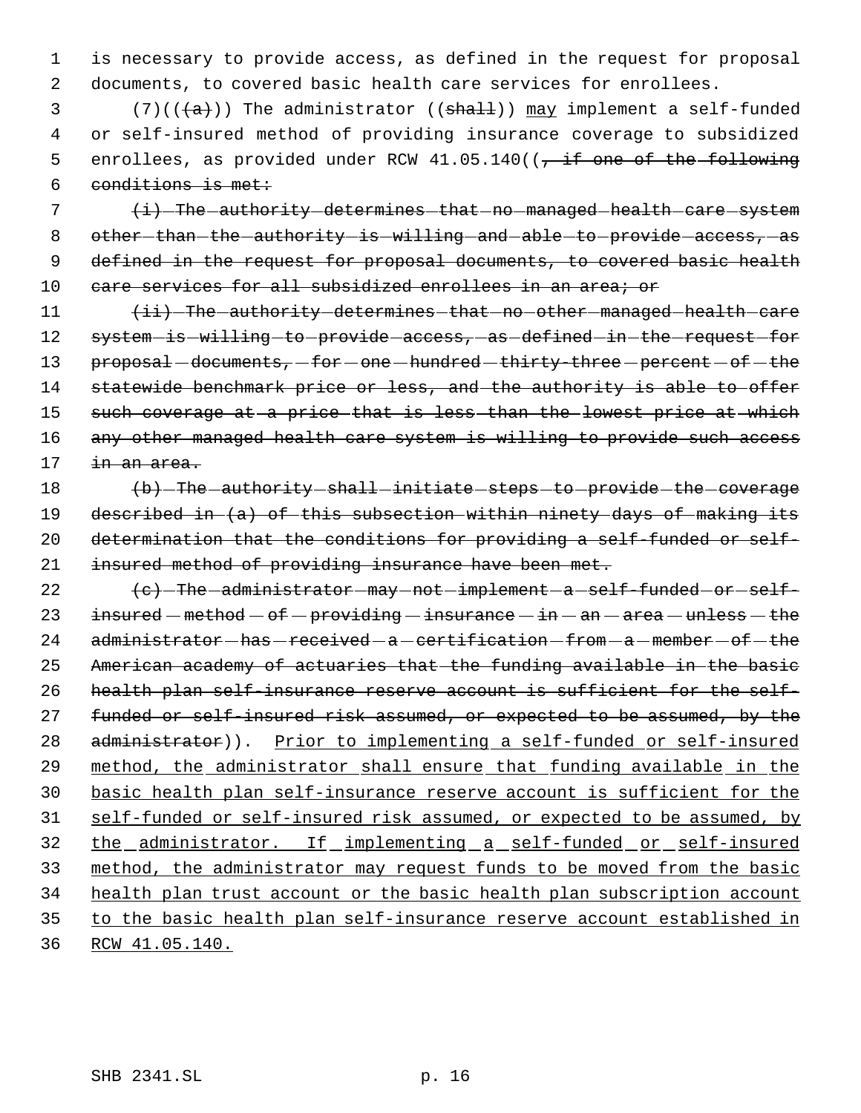1 is necessary to provide access, as defined in the request for proposal 2 documents, to covered basic health care services for enrollees.

3 (7)( $(\overline{a})$ ) The administrator (( $\overline{shal}$ )) may implement a self-funded 4 or self-insured method of providing insurance coverage to subsidized 5 enrollees, as provided under RCW  $41.05.140$  ( $\frac{1}{100}$  one of the following 6 conditions is met:

 $7$   $\leftrightarrow$   $\frac{1}{1}$  The authority determines that no managed health care system 8 other-than-the-authority-is-willing-and-able-to-provide-access,-as 9 defined in the request for proposal documents, to covered basic health 10 care services for all subsidized enrollees in an area; or

11  $\leftarrow$   $\leftarrow$  The authority determines that no other managed health care 12 system-is-willing-to-provide-access, as defined-in-the-request-for 13 proposal - documents, - for - one - hundred - thirty-three - percent - of - the 14 statewide benchmark price or less, and the authority is able to offer 15 such coverage at a price that is less than the lowest price at which 16 any other managed health care system is willing to provide such access 17 in an area.

18 (b) The authority shall initiate steps to provide the coverage 19 described in (a) of this subsection within ninety days of making its 20 determination that the conditions for providing a self-funded or self-21 insured method of providing insurance have been met.

 $\left\{\mathrm{e}\right\}$  -The administrator may not implement a self-funded or self-23 insured  $-$  method  $-$  of  $-$  providing  $-$  insurance  $-$  in  $-$  an  $-$  area  $-$  unless  $-$  the administrator-has-received-a-certification-from-a-member-of-the American academy of actuaries that the funding available in the basic health plan self-insurance reserve account is sufficient for the self-27 funded or self-insured risk assumed, or expected to be assumed, by the 28 administrator)). Prior to implementing a self-funded or self-insured method, the administrator shall ensure that funding available in the basic health plan self-insurance reserve account is sufficient for the self-funded or self-insured risk assumed, or expected to be assumed, by 32 the administrator. If implementing a self-funded or self-insured method, the administrator may request funds to be moved from the basic health plan trust account or the basic health plan subscription account to the basic health plan self-insurance reserve account established in RCW 41.05.140.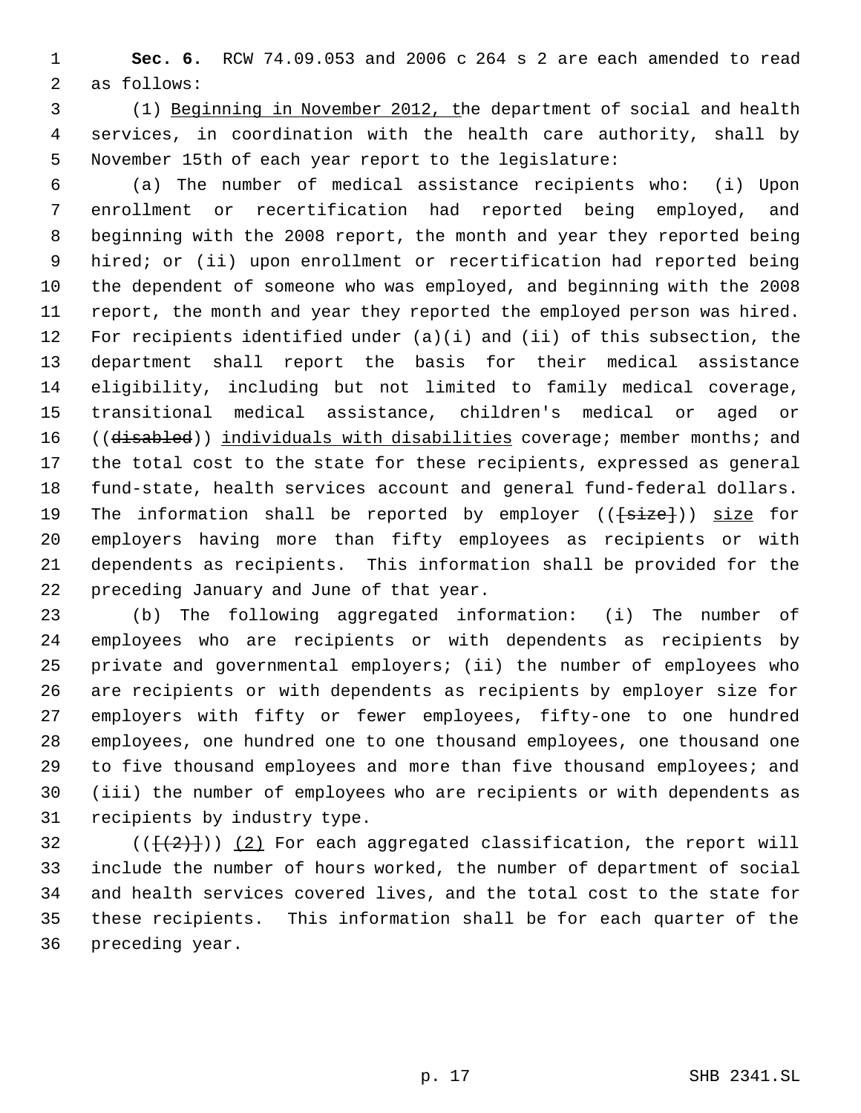**Sec. 6.** RCW 74.09.053 and 2006 c 264 s 2 are each amended to read as follows:

 (1) Beginning in November 2012, the department of social and health services, in coordination with the health care authority, shall by November 15th of each year report to the legislature:

 (a) The number of medical assistance recipients who: (i) Upon enrollment or recertification had reported being employed, and beginning with the 2008 report, the month and year they reported being hired; or (ii) upon enrollment or recertification had reported being the dependent of someone who was employed, and beginning with the 2008 report, the month and year they reported the employed person was hired. For recipients identified under (a)(i) and (ii) of this subsection, the department shall report the basis for their medical assistance eligibility, including but not limited to family medical coverage, transitional medical assistance, children's medical or aged or 16 ((disabled)) individuals with disabilities coverage; member months; and the total cost to the state for these recipients, expressed as general fund-state, health services account and general fund-federal dollars. 19 The information shall be reported by employer (( $\{\texttt{size}\})$ ) size for employers having more than fifty employees as recipients or with dependents as recipients. This information shall be provided for the preceding January and June of that year.

 (b) The following aggregated information: (i) The number of employees who are recipients or with dependents as recipients by private and governmental employers; (ii) the number of employees who are recipients or with dependents as recipients by employer size for employers with fifty or fewer employees, fifty-one to one hundred employees, one hundred one to one thousand employees, one thousand one to five thousand employees and more than five thousand employees; and (iii) the number of employees who are recipients or with dependents as recipients by industry type.

 $((\frac{1}{2})\cdot)(2)$  For each aggregated classification, the report will include the number of hours worked, the number of department of social and health services covered lives, and the total cost to the state for these recipients. This information shall be for each quarter of the preceding year.